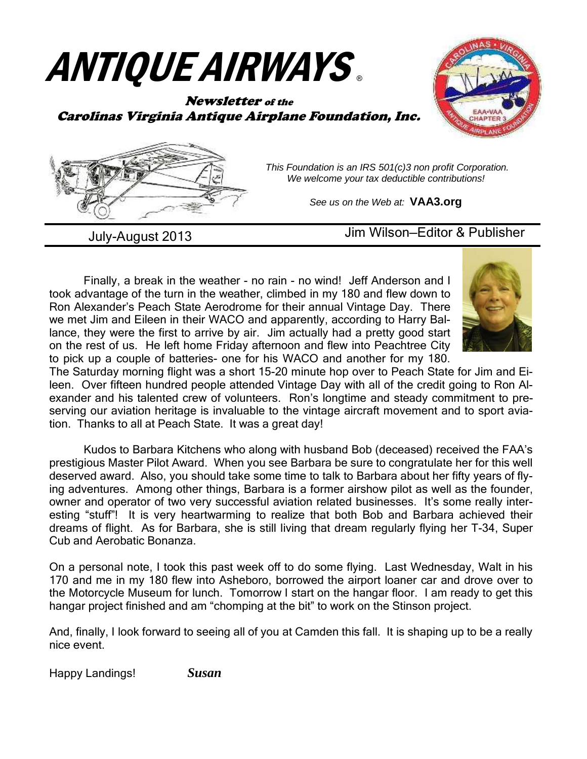# ANTIQUE AIRWAYS ®

#### Newsletter of the Carolinas Virginia Antique Airplane Foundation, Inc.





 This Foundation is an IRS 501(c)3 non profit Corporation. We welcome your tax deductible contributions!

See us on the Web at: **VAA3.org** 

July-August 2013 Jim Wilson—Editor & Publisher

Finally, a break in the weather - no rain - no wind! Jeff Anderson and I took advantage of the turn in the weather, climbed in my 180 and flew down to Ron Alexander's Peach State Aerodrome for their annual Vintage Day. There we met Jim and Eileen in their WACO and apparently, according to Harry Ballance, they were the first to arrive by air. Jim actually had a pretty good start on the rest of us. He left home Friday afternoon and flew into Peachtree City to pick up a couple of batteries- one for his WACO and another for my 180.



The Saturday morning flight was a short 15-20 minute hop over to Peach State for Jim and Eileen. Over fifteen hundred people attended Vintage Day with all of the credit going to Ron Alexander and his talented crew of volunteers. Ron's longtime and steady commitment to preserving our aviation heritage is invaluable to the vintage aircraft movement and to sport aviation. Thanks to all at Peach State. It was a great day!

 Kudos to Barbara Kitchens who along with husband Bob (deceased) received the FAA's prestigious Master Pilot Award. When you see Barbara be sure to congratulate her for this well deserved award. Also, you should take some time to talk to Barbara about her fifty years of flying adventures. Among other things, Barbara is a former airshow pilot as well as the founder, owner and operator of two very successful aviation related businesses. It's some really interesting "stuff"! It is very heartwarming to realize that both Bob and Barbara achieved their dreams of flight. As for Barbara, she is still living that dream regularly flying her T-34, Super Cub and Aerobatic Bonanza.

On a personal note, I took this past week off to do some flying. Last Wednesday, Walt in his 170 and me in my 180 flew into Asheboro, borrowed the airport loaner car and drove over to the Motorcycle Museum for lunch. Tomorrow I start on the hangar floor. I am ready to get this hangar project finished and am "chomping at the bit" to work on the Stinson project.

And, finally, I look forward to seeing all of you at Camden this fall. It is shaping up to be a really nice event.

Happy Landings! *Susan*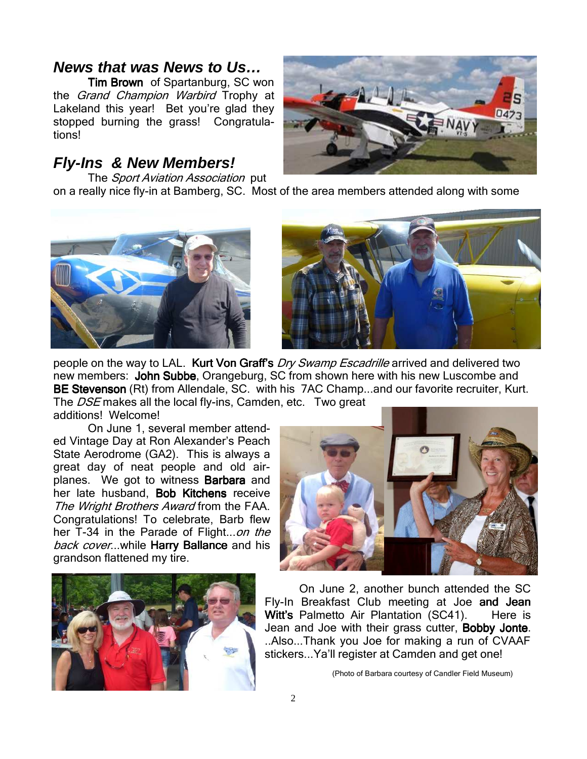## **News that was News to Us…**

Tim Brown of Spartanburg, SC won the *Grand Champion Warbird* Trophy at Lakeland this year! Bet you're glad they stopped burning the grass! Congratulations!

## **Fly-Ins & New Members!**



The Sport Aviation Association put on a really nice fly-in at Bamberg, SC. Most of the area members attended along with some





people on the way to LAL. Kurt Von Graff's *Dry Swamp Escadrille* arrived and delivered two new members: John Subbe, Orangeburg, SC from shown here with his new Luscombe and BE Stevenson (Rt) from Allendale, SC. with his 7AC Champ...and our favorite recruiter, Kurt. The DSE makes all the local fly-ins, Camden, etc. Two great

additions! Welcome!

 On June 1, several member attended Vintage Day at Ron Alexander's Peach State Aerodrome (GA2). This is always a great day of neat people and old airplanes. We got to witness **Barbara** and her late husband, Bob Kitchens receive The Wright Brothers Award from the FAA. Congratulations! To celebrate, Barb flew her T-34 in the Parade of Flight...on the back cover...while Harry Ballance and his grandson flattened my tire.





 On June 2, another bunch attended the SC Fly-In Breakfast Club meeting at Joe and Jean Witt's Palmetto Air Plantation (SC41). Here is Jean and Joe with their grass cutter, **Bobby Jonte**. ..Also...Thank you Joe for making a run of CVAAF stickers...Ya'll register at Camden and get one!

(Photo of Barbara courtesy of Candler Field Museum)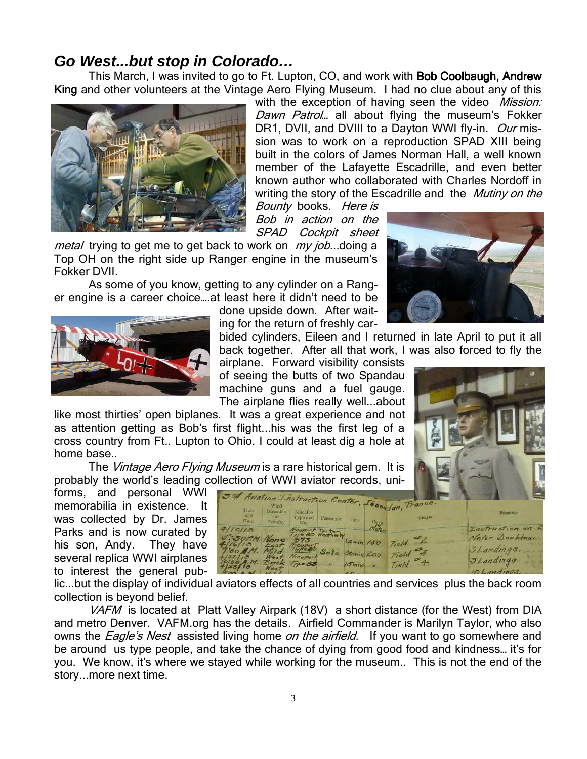## **Go West...but stop in Colorado…**

This March, I was invited to go to Ft. Lupton, CO, and work with **Bob Coolbaugh, Andrew** King and other volunteers at the Vintage Aero Flying Museum. I had no clue about any of this



with the exception of having seen the video *Mission:* Dawn Patrol... all about flying the museum's Fokker DR1, DVII, and DVIII to a Dayton WWI fly-in. Our mission was to work on a reproduction SPAD XIII being built in the colors of James Norman Hall, a well known member of the Lafayette Escadrille, and even better known author who collaborated with Charles Nordoff in writing the story of the Escadrille and the *Mutiny on the* 

Bounty books. Here is Bob in action on the SPAD Cockpit sheet

metal trying to get me to get back to work on my job...doing a Top OH on the right side up Ranger engine in the museum's Fokker DVII.

 As some of you know, getting to any cylinder on a Ranger engine is a career choice….at least here it didn't need to be

done upside down. After waiting for the return of freshly car-

bided cylinders, Eileen and I returned in late April to put it all back together. After all that work, I was also forced to fly the

airplane. Forward visibility consists of seeing the butts of two Spandau machine guns and a fuel gauge. The airplane flies really well...about

like most thirties' open biplanes. It was a great experience and not as attention getting as Bob's first flight...his was the first leg of a cross country from Ft.. Lupton to Ohio. I could at least dig a hole at home base..

The Vintage Aero Flying Museum is a rare historical gem. It is probably the world's leading collection of WWI aviator records, uni-

forms, and personal WWI memorabilia in existence. It was collected by Dr. James Parks and is now curated by his son, Andy. They have several replica WWI airplanes to interest the general pub-

| and<br>Hour                                            | Direction.<br>and<br>Velocity | Machino.<br>Type and<br>Na. | Passenger           | Time                    | 5nd Aviation Instruction Center, Leaoudun, Trance.<br>Course | <b>Remarks</b>                     |
|--------------------------------------------------------|-------------------------------|-----------------------------|---------------------|-------------------------|--------------------------------------------------------------|------------------------------------|
| 7/10/18<br>5:30P.M. None                               |                               | Nieuport Testary            |                     | 60 min / 50             | Field                                                        | Instruction on L<br>Meter Doubles. |
| 'OOAM.<br>4122118<br>10:00 A.M. Brick Type 85<br>23/18 | Weal<br>$W_{c3}$ $\tau$       | Nicaport                    | Solo 30min 200<br>m | $15$ $min$<br>$10 - 10$ | ලා<br>Field<br>4<br>Field                                    | I Landings.<br>JLandings.          |

lic...but the display of individual aviators effects of all countries and services plus the back room collection is beyond belief.

VAFM is located at Platt Valley Airpark (18V) a short distance (for the West) from DIA and metro Denver. VAFM.org has the details. Airfield Commander is Marilyn Taylor, who also owns the *Eagle's Nest* assisted living home *on the airfield*. If you want to go somewhere and be around us type people, and take the chance of dying from good food and kindness… it's for you. We know, it's where we stayed while working for the museum.. This is not the end of the story...more next time.



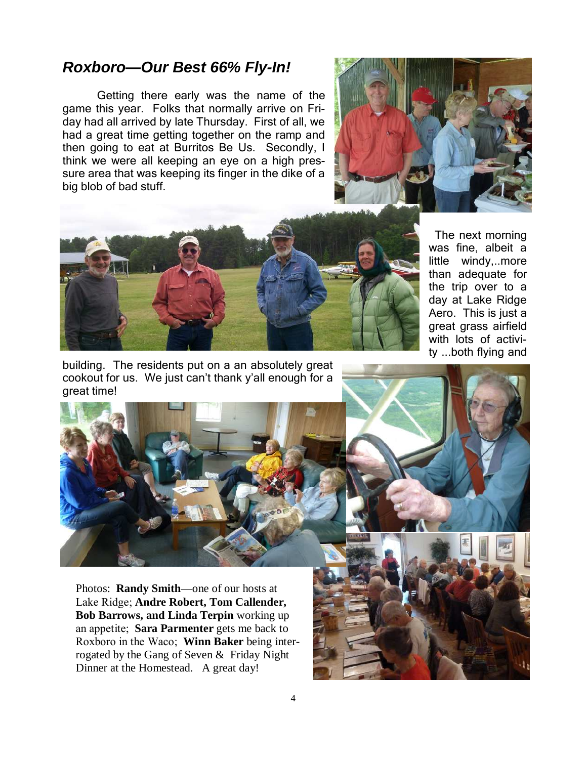#### **Roxboro—Our Best 66% Fly-In!**

 Getting there early was the name of the game this year. Folks that normally arrive on Friday had all arrived by late Thursday. First of all, we had a great time getting together on the ramp and then going to eat at Burritos Be Us. Secondly, I think we were all keeping an eye on a high pressure area that was keeping its finger in the dike of a big blob of bad stuff.





 The next morning was fine, albeit a little windy,..more than adequate for the trip over to a day at Lake Ridge Aero. This is just a great grass airfield with lots of activity ...both flying and

building. The residents put on a an absolutely great cookout for us. We just can't thank y'all enough for a great time!



Photos: **Randy Smith**—one of our hosts at Lake Ridge; **Andre Robert, Tom Callender, Bob Barrows, and Linda Terpin** working up an appetite; **Sara Parmenter** gets me back to Roxboro in the Waco; **Winn Baker** being interrogated by the Gang of Seven & Friday Night Dinner at the Homestead. A great day!

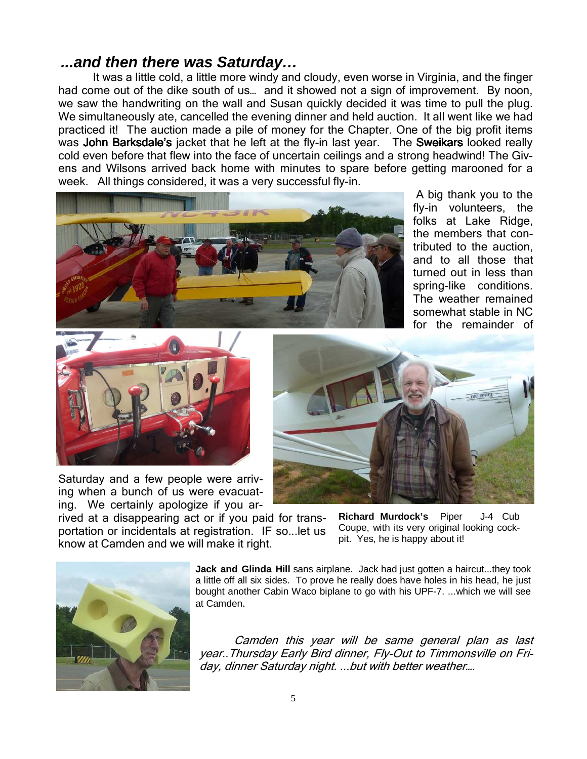#### **...and then there was Saturday…**

 It was a little cold, a little more windy and cloudy, even worse in Virginia, and the finger had come out of the dike south of us... and it showed not a sign of improvement. By noon, we saw the handwriting on the wall and Susan quickly decided it was time to pull the plug. We simultaneously ate, cancelled the evening dinner and held auction. It all went like we had practiced it! The auction made a pile of money for the Chapter. One of the big profit items was John Barksdale's jacket that he left at the fly-in last year. The Sweikars looked really cold even before that flew into the face of uncertain ceilings and a strong headwind! The Givens and Wilsons arrived back home with minutes to spare before getting marooned for a week. All things considered, it was a very successful fly-in.



 A big thank you to the fly-in volunteers, the folks at Lake Ridge, the members that contributed to the auction, and to all those that turned out in less than spring-like conditions. The weather remained somewhat stable in NC for the remainder of



Saturday and a few people were arriving when a bunch of us were evacuating. We certainly apologize if you ar-



rived at a disappearing act or if you paid for transportation or incidentals at registration. IF so...let us know at Camden and we will make it right.

**Richard Murdock's** Piper J-4 Cub Coupe, with its very original looking cockpit. Yes, he is happy about it!



**Jack and Glinda Hill** sans airplane. Jack had just gotten a haircut...they took a little off all six sides. To prove he really does have holes in his head, he just bought another Cabin Waco biplane to go with his UPF-7. ...which we will see at Camden.

Camden this year will be same general plan as last year..Thursday Early Bird dinner, Fly-Out to Timmonsville on Friday, dinner Saturday night. ...but with better weather….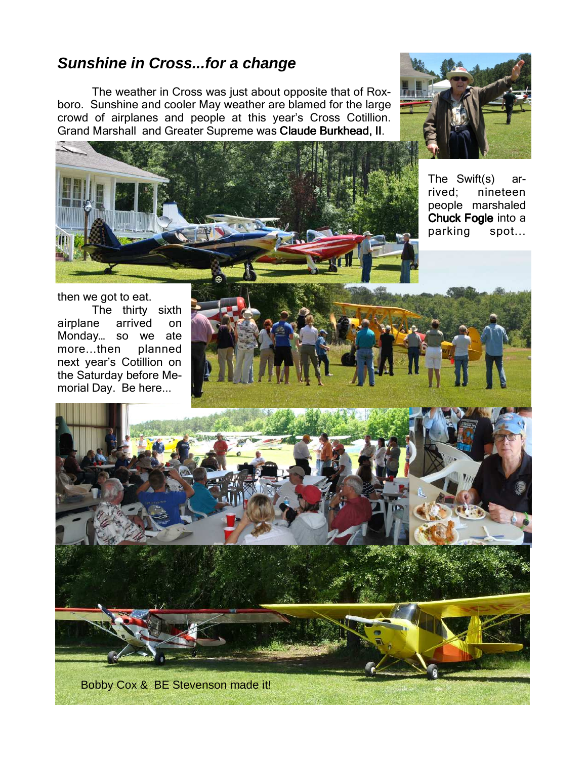## **Sunshine in Cross...for a change**

 The weather in Cross was just about opposite that of Roxboro. Sunshine and cooler May weather are blamed for the large crowd of airplanes and people at this year's Cross Cotillion. Grand Marshall and Greater Supreme was Claude Burkhead, II.





The Swift(s) arrived; nineteen people marshaled Chuck Fogle into a parking spot...

then we got to eat. The thirty sixth airplane arrived on Monday… so we ate more...then planned next year's Cotillion on the Saturday before Memorial Day. Be here...

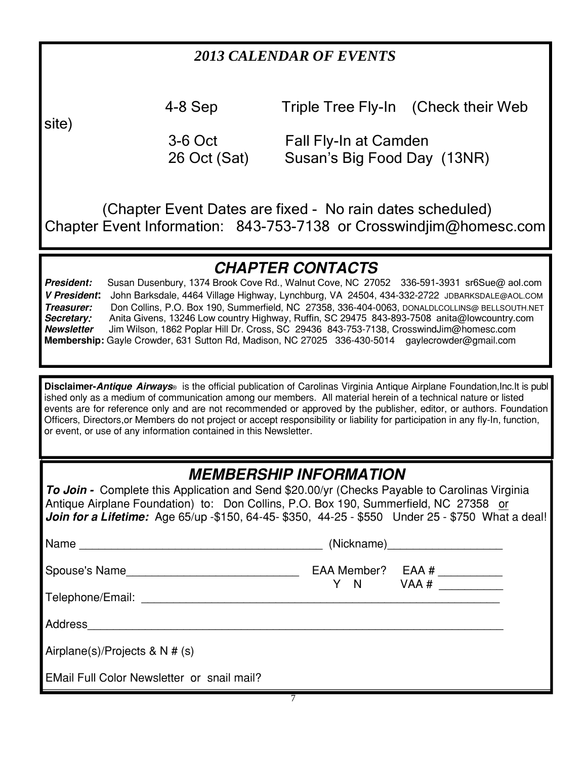## *2013 CALENDAR OF EVENTS*

site)

4-8 Sep Triple Tree Fly-In (Check their Web

3-6 Oct Fall Fly-In at Camden<br>26 Oct (Sat) Susan's Big Food Day Susan's Big Food Day (13NR)

 (Chapter Event Dates are fixed - No rain dates scheduled) Chapter Event Information: 843-753-7138 or Crosswindjim@homesc.com

# CHAPTER CONTACTS

President: Susan Dusenbury, 1374 Brook Cove Rd., Walnut Cove, NC 27052 336-591-3931 sr6Sue@ aol.com V President: John Barksdale, 4464 Village Highway, Lynchburg, VA 24504, 434-332-2722 JDBARKSDALE@AOL.COM Treasurer: Don Collins, P.O. Box 190, Summerfield, NC 27358, 336-404-0063, DONALDLCOLLINS@ BELLSOUTH.NET Secretary: Anita Givens, 13246 Low country Highway, Ruffin, SC 29475 843-893-7508 anita@lowcountry.com<br>Newsletter Jim Wilson, 1862 Poplar Hill Dr. Cross, SC 29436 843-753-7138, CrosswindJim@homesc.com Jim Wilson, 1862 Poplar Hill Dr. Cross, SC 29436 843-753-7138, CrosswindJim@homesc.com Membership: Gayle Crowder, 631 Sutton Rd, Madison, NC 27025 336-430-5014 gaylecrowder@gmail.com

Disclaimer-Antique Airways® is the official publication of Carolinas Virginia Antique Airplane Foundation,Inc.It is publ ished only as a medium of communication among our members. All material herein of a technical nature or listed events are for reference only and are not recommended or approved by the publisher, editor, or authors. Foundation Officers, Directors,or Members do not project or accept responsibility or liability for participation in any fly−In, function, or event, or use of any information contained in this Newsletter.

# MEMBERSHIP INFORMATION

To Join - Complete this Application and Send \$20.00/yr (Checks Payable to Carolinas Virginia Antique Airplane Foundation) to: Don Collins, P.O. Box 190, Summerfield, NC 27358 or Join for a Lifetime: Age 65/up -\$150, 64-45- \$350, 44-25 - \$550 Under 25 - \$750 What a deal!

| Name                                       | (Nickname)                         |
|--------------------------------------------|------------------------------------|
|                                            | EAA Member? EAA #<br>$Y \tN$ VAA # |
| Telephone/Email: ______________________    |                                    |
| Address                                    |                                    |
| Airplane(s)/Projects & N # (s)             |                                    |
| EMail Full Color Newsletter or snail mail? |                                    |